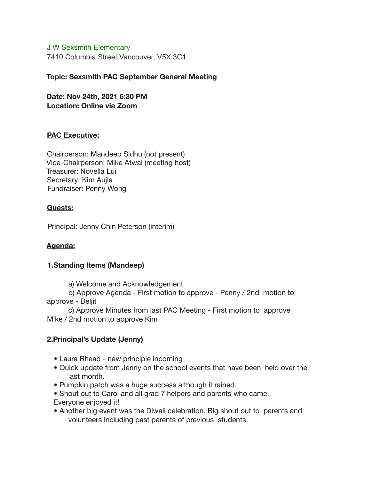#### J W Sexsmith Elementary

7410 Columbia Street Vancouver, V5X 3C1

### **Topic: Sexsmith PAC September General Meeting**

**Date: Nov 24th, 2021 6:30 PM Location: Online via Zoom**

### **PAC Executive:**

Chairperson: Mandeep Sidhu (not present) Vice-Chairperson: Mike Atwal (meeting host) Treasurer: Novella Lui Secretary: Kim Aujla Fundraiser: Penny Wong

### **Guests:**

Principal: Jenny Chin Peterson (interim)

# **Agenda:**

#### **1.Standing Items (Mandeep)**

a) Welcome and Acknowledgement

b) Approve Agenda - First motion to approve - Penny / 2nd motion to approve - Deljit

c) Approve Minutes from last PAC Meeting - First motion to approve Mike / 2nd motion to approve Kim

# **2.Principal's Update (Jenny)**

- Laura Rhead new principle incoming
- Quick update from Jenny on the school events that have been held over the last month.
- Pumpkin patch was a huge success although it rained.
- Shout out to Carol and all grad 7 helpers and parents who came. Everyone enjoyed it!
- Another big event was the Diwali celebration. Big shout out to parents and volunteers including past parents of previous students.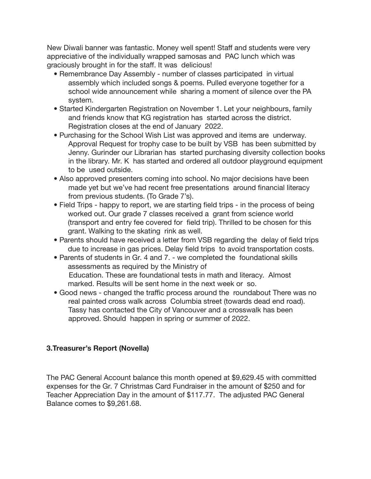New Diwali banner was fantastic. Money well spent! Staff and students were very appreciative of the individually wrapped samosas and PAC lunch which was graciously brought in for the staff. It was delicious!

- Remembrance Day Assembly number of classes participated in virtual assembly which included songs & poems. Pulled everyone together for a school wide announcement while sharing a moment of silence over the PA system.
- Started Kindergarten Registration on November 1. Let your neighbours, family and friends know that KG registration has started across the district. Registration closes at the end of January 2022.
- Purchasing for the School Wish List was approved and items are underway. Approval Request for trophy case to be built by VSB has been submitted by Jenny. Gurinder our Librarian has started purchasing diversity collection books in the library. Mr. K has started and ordered all outdoor playground equipment to be used outside.
- Also approved presenters coming into school. No major decisions have been made yet but we've had recent free presentations around financial literacy from previous students. (To Grade 7's).
- Field Trips happy to report, we are starting field trips in the process of being worked out. Our grade 7 classes received a grant from science world (transport and entry fee covered for field trip). Thrilled to be chosen for this grant. Walking to the skating rink as well.
- Parents should have received a letter from VSB regarding the delay of field trips due to increase in gas prices. Delay field trips to avoid transportation costs.
- Parents of students in Gr. 4 and 7. we completed the foundational skills assessments as required by the Ministry of Education. These are foundational tests in math and literacy. Almost marked. Results will be sent home in the next week or so.
- Good news changed the traffic process around the roundabout There was no real painted cross walk across Columbia street (towards dead end road). Tassy has contacted the City of Vancouver and a crosswalk has been approved. Should happen in spring or summer of 2022.

# **3.Treasurer's Report (Novella)**

The PAC General Account balance this month opened at \$9,629.45 with committed expenses for the Gr. 7 Christmas Card Fundraiser in the amount of \$250 and for Teacher Appreciation Day in the amount of \$117.77. The adjusted PAC General Balance comes to \$9,261.68.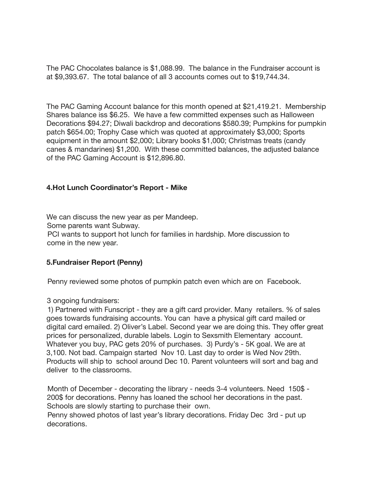The PAC Chocolates balance is \$1,088.99. The balance in the Fundraiser account is at \$9,393.67. The total balance of all 3 accounts comes out to \$19,744.34.

The PAC Gaming Account balance for this month opened at \$21,419.21. Membership Shares balance iss \$6.25. We have a few committed expenses such as Halloween Decorations \$94.27; Diwali backdrop and decorations \$580.39; Pumpkins for pumpkin patch \$654.00; Trophy Case which was quoted at approximately \$3,000; Sports equipment in the amount \$2,000; Library books \$1,000; Christmas treats (candy canes & mandarines) \$1,200. With these committed balances, the adjusted balance of the PAC Gaming Account is \$12,896.80.

# **4.Hot Lunch Coordinator's Report - Mike**

We can discuss the new year as per Mandeep. Some parents want Subway. PCI wants to support hot lunch for families in hardship. More discussion to come in the new year.

#### **5.Fundraiser Report (Penny)**

Penny reviewed some photos of pumpkin patch even which are on Facebook.

3 ongoing fundraisers:

1) Partnered with Funscript - they are a gift card provider. Many retailers. % of sales goes towards fundraising accounts. You can have a physical gift card mailed or digital card emailed. 2) Oliver's Label. Second year we are doing this. They offer great prices for personalized, durable labels. Login to Sexsmith Elementary account. Whatever you buy, PAC gets 20% of purchases. 3) Purdy's - 5K goal. We are at 3,100. Not bad. Campaign started Nov 10. Last day to order is Wed Nov 29th. Products will ship to school around Dec 10. Parent volunteers will sort and bag and deliver to the classrooms.

Month of December - decorating the library - needs 3-4 volunteers. Need 150\$ - 200\$ for decorations. Penny has loaned the school her decorations in the past. Schools are slowly starting to purchase their own.

Penny showed photos of last year's library decorations. Friday Dec 3rd - put up decorations.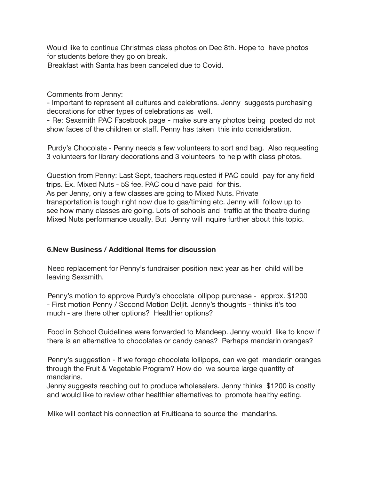Would like to continue Christmas class photos on Dec 8th. Hope to have photos for students before they go on break.

Breakfast with Santa has been canceled due to Covid.

Comments from Jenny:

- Important to represent all cultures and celebrations. Jenny suggests purchasing decorations for other types of celebrations as well.

- Re: Sexsmith PAC Facebook page - make sure any photos being posted do not show faces of the children or staff. Penny has taken this into consideration.

Purdy's Chocolate - Penny needs a few volunteers to sort and bag. Also requesting 3 volunteers for library decorations and 3 volunteers to help with class photos.

Question from Penny: Last Sept, teachers requested if PAC could pay for any field trips. Ex. Mixed Nuts - 5\$ fee. PAC could have paid for this. As per Jenny, only a few classes are going to Mixed Nuts. Private transportation is tough right now due to gas/timing etc. Jenny will follow up to see how many classes are going. Lots of schools and traffic at the theatre during Mixed Nuts performance usually. But Jenny will inquire further about this topic.

#### **6.New Business / Additional Items for discussion**

Need replacement for Penny's fundraiser position next year as her child will be leaving Sexsmith.

Penny's motion to approve Purdy's chocolate lollipop purchase - approx. \$1200 - First motion Penny / Second Motion Deljit. Jenny's thoughts - thinks it's too much - are there other options? Healthier options?

Food in School Guidelines were forwarded to Mandeep. Jenny would like to know if there is an alternative to chocolates or candy canes? Perhaps mandarin oranges?

Penny's suggestion - If we forego chocolate lollipops, can we get mandarin oranges through the Fruit & Vegetable Program? How do we source large quantity of mandarins.

Jenny suggests reaching out to produce wholesalers. Jenny thinks \$1200 is costly and would like to review other healthier alternatives to promote healthy eating.

Mike will contact his connection at Fruiticana to source the mandarins.